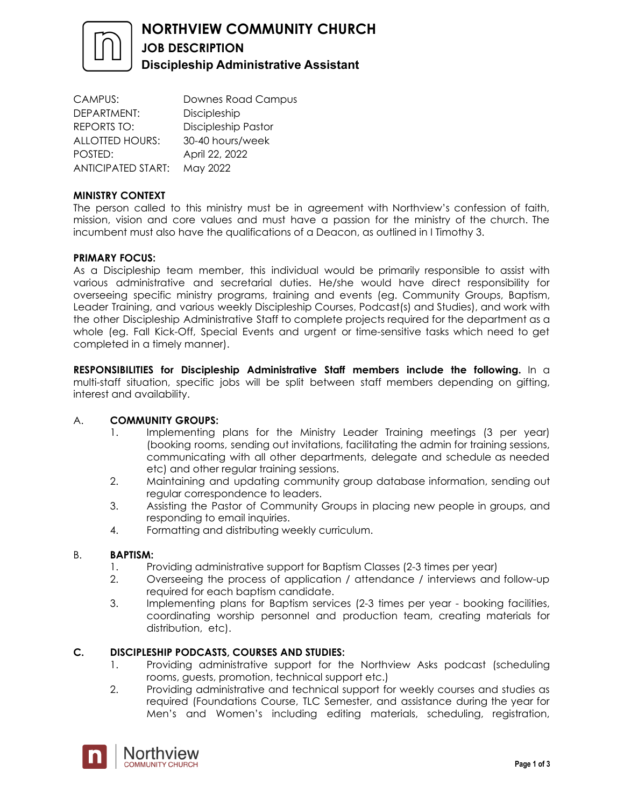

CAMPUS: Downes Road Campus DEPARTMENT: Discipleship REPORTS TO: Discipleship Pastor ALLOTTED HOURS: 30-40 hours/week POSTED: April 22, 2022 ANTICIPATED START: May 2022

# **MINISTRY CONTEXT**

The person called to this ministry must be in agreement with Northview's confession of faith, mission, vision and core values and must have a passion for the ministry of the church. The incumbent must also have the qualifications of a Deacon, as outlined in I Timothy 3.

# **PRIMARY FOCUS:**

As a Discipleship team member, this individual would be primarily responsible to assist with various administrative and secretarial duties. He/she would have direct responsibility for overseeing specific ministry programs, training and events (eg. Community Groups, Baptism, Leader Training, and various weekly Discipleship Courses, Podcast(s) and Studies), and work with the other Discipleship Administrative Staff to complete projects required for the department as a whole (eg. Fall Kick-Off, Special Events and urgent or time-sensitive tasks which need to get completed in a timely manner).

**RESPONSIBILITIES for Discipleship Administrative Staff members include the following.** In a multi-staff situation, specific jobs will be split between staff members depending on gifting, interest and availability.

# A. **COMMUNITY GROUPS:**

- 1. Implementing plans for the Ministry Leader Training meetings (3 per year) (booking rooms, sending out invitations, facilitating the admin for training sessions, communicating with all other departments, delegate and schedule as needed etc) and other regular training sessions.
- 2. Maintaining and updating community group database information, sending out regular correspondence to leaders.
- 3. Assisting the Pastor of Community Groups in placing new people in groups, and responding to email inquiries.
- 4. Formatting and distributing weekly curriculum.

# B. **BAPTISM:**

- 1. Providing administrative support for Baptism Classes (2-3 times per year)
- 2. Overseeing the process of application / attendance / interviews and follow-up required for each baptism candidate.
- 3. Implementing plans for Baptism services (2-3 times per year booking facilities, coordinating worship personnel and production team, creating materials for distribution, etc).

# **C. DISCIPLESHIP PODCASTS, COURSES AND STUDIES:**

- 1. Providing administrative support for the Northview Asks podcast (scheduling rooms, guests, promotion, technical support etc.)
- 2. Providing administrative and technical support for weekly courses and studies as required (Foundations Course, TLC Semester, and assistance during the year for Men's and Women's including editing materials, scheduling, registration,

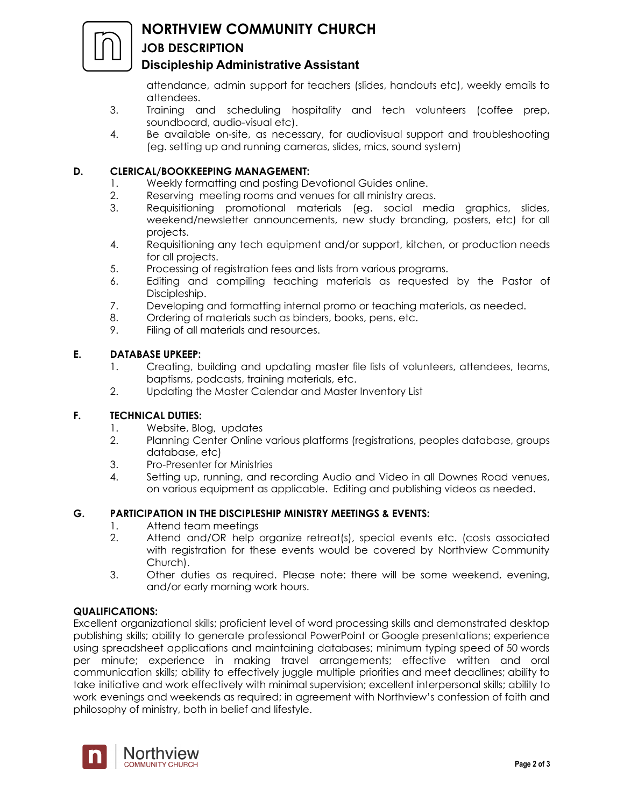

# **NORTHVIEW COMMUNITY CHURCH**

# **JOB DESCRIPTION**

# **Discipleship Administrative Assistant**

attendance, admin support for teachers (slides, handouts etc), weekly emails to attendees.

- 3. Training and scheduling hospitality and tech volunteers (coffee prep, soundboard, audio-visual etc).
- 4. Be available on-site, as necessary, for audiovisual support and troubleshooting (eg. setting up and running cameras, slides, mics, sound system)

# **D. CLERICAL/BOOKKEEPING MANAGEMENT:**

- 1. Weekly formatting and posting Devotional Guides online.
- 2. Reserving meeting rooms and venues for all ministry areas.
- 3. Requisitioning promotional materials (eg. social media graphics, slides, weekend/newsletter announcements, new study branding, posters, etc) for all projects.
- 4. Requisitioning any tech equipment and/or support, kitchen, or production needs for all projects.
- 5. Processing of registration fees and lists from various programs.
- 6. Editing and compiling teaching materials as requested by the Pastor of Discipleship.
- 7. Developing and formatting internal promo or teaching materials, as needed.
- 8. Ordering of materials such as binders, books, pens, etc.
- 9. Filing of all materials and resources.

# **E. DATABASE UPKEEP:**

- 1. Creating, building and updating master file lists of volunteers, attendees, teams, baptisms, podcasts, training materials, etc.
- 2. Updating the Master Calendar and Master Inventory List

# **F. TECHNICAL DUTIES:**

- 1. Website, Blog, updates
- 2. Planning Center Online various platforms (registrations, peoples database, groups database, etc)
- 3. Pro-Presenter for Ministries
- 4. Setting up, running, and recording Audio and Video in all Downes Road venues, on various equipment as applicable. Editing and publishing videos as needed.

# **G. PARTICIPATION IN THE DISCIPLESHIP MINISTRY MEETINGS & EVENTS:**

- 1. Attend team meetings
- 2. Attend and/OR help organize retreat(s), special events etc. (costs associated with registration for these events would be covered by Northview Community Church).
- 3. Other duties as required. Please note: there will be some weekend, evening, and/or early morning work hours.

# **QUALIFICATIONS:**

Excellent organizational skills; proficient level of word processing skills and demonstrated desktop publishing skills; ability to generate professional PowerPoint or Google presentations; experience using spreadsheet applications and maintaining databases; minimum typing speed of 50 words per minute; experience in making travel arrangements; effective written and oral communication skills; ability to effectively juggle multiple priorities and meet deadlines; ability to take initiative and work effectively with minimal supervision; excellent interpersonal skills; ability to work evenings and weekends as required; in agreement with Northview's confession of faith and philosophy of ministry, both in belief and lifestyle.